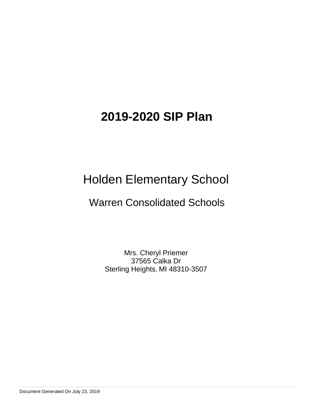# Holden Elementary School

# Warren Consolidated Schools

Mrs. Cheryl Priemer 37565 Calka Dr Sterling Heights, MI 48310-3507

Document Generated On July 23, 2019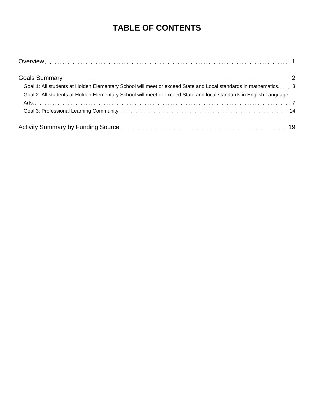# **TABLE OF CONTENTS**

| Goal 1: All students at Holden Elementary School will meet or exceed State and Local standards in mathematics 3    |  |
|--------------------------------------------------------------------------------------------------------------------|--|
| Goal 2: All students at Holden Elementary School will meet or exceed State and local standards in English Language |  |
|                                                                                                                    |  |
|                                                                                                                    |  |
|                                                                                                                    |  |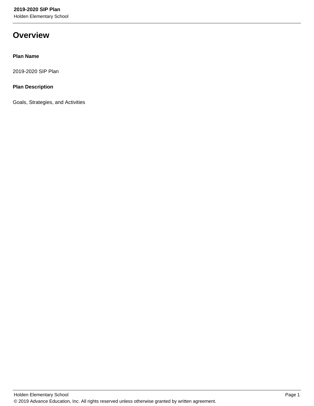Holden Elementary School

# **Overview**

## **Plan Name**

2019-2020 SIP Plan

# **Plan Description**

Goals, Strategies, and Activities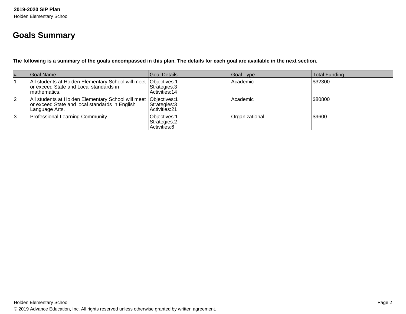# **Goals Summary**

**The following is a summary of the goals encompassed in this plan. The details for each goal are available in the next section.**

| #  | Goal Name                                                                                                                              | Goal Details                                    | Goal Type      | <b>Total Funding</b> |
|----|----------------------------------------------------------------------------------------------------------------------------------------|-------------------------------------------------|----------------|----------------------|
|    | All students at Holden Elementary School will meet   Objectives: 1<br>or exceed State and Local standards in<br>Imathematics.          | Strategies: 3<br>Activities: 14                 | Academic       | \$32300              |
| 12 | All students at Holden Elementary School will meet   Objectives: 1<br>or exceed State and local standards in English<br>Language Arts. | Strategies: 3<br>Activities: 21                 | Academic       | \$80800              |
| 3  | <b>Professional Learning Community</b>                                                                                                 | Objectives: 1<br>Strategies: 2<br>Activities: 6 | Organizational | 1\$9600              |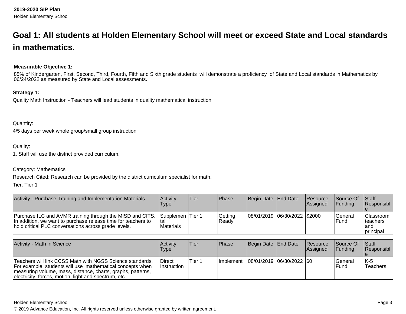# **Goal 1: All students at Holden Elementary School will meet or exceed State and Local standardsin mathematics.**

## **Measurable Objective 1:**

85% of Kindergarten, First, Second, Third, Fourth, Fifth and Sixth grade students will demonstrate a proficiency of State and Local standards in Mathematics by 06/24/2022 as measured by State and Local assessments.

#### **Strategy 1:**

Quality Math Instruction - Teachers will lead students in quality mathematical instruction

Quantity:

4/5 days per week whole group/small group instruction

#### Quality:

1. Staff will use the district provided curriculum.

#### Category: Mathematics

Research Cited: Research can be provided by the district curriculum specialist for math.

Tier: Tier 1

| Activity - Purchase Training and Implementation Materials                                                                                                                          | Activity<br>Type                             | 'Tier | <b>Phase</b>     | Begin Date End Date            | <b>Resource</b><br><b>Assigned</b> | <b>Source Of</b><br><b>IFundina</b> | <b>Staff</b><br><b>Responsibl</b>             |
|------------------------------------------------------------------------------------------------------------------------------------------------------------------------------------|----------------------------------------------|-------|------------------|--------------------------------|------------------------------------|-------------------------------------|-----------------------------------------------|
| Purchase ILC and AVMR training through the MISD and CITS.<br>In addition, we want to purchase release time for teachers to<br>hold critical PLC conversations across grade levels. | Supplemen Tier 1<br>Ital<br><b>Materials</b> |       | Getting<br>Ready | 08/01/2019  06/30/2022  \$2000 |                                    | <b>Seneral</b><br>lFund             | Classroom  <br>Iteachers<br>land<br>principal |

| Activity - Math in Science                                                                                                                                                                                                                     | Activity<br>Type                    | 'Tier  | <b>IPhase</b>                             | Begin Date End Date | <b>Resource</b><br><b>Assigned</b> | Source Of<br><b>IFunding</b> | Staff<br>Responsibl |
|------------------------------------------------------------------------------------------------------------------------------------------------------------------------------------------------------------------------------------------------|-------------------------------------|--------|-------------------------------------------|---------------------|------------------------------------|------------------------------|---------------------|
| Teachers will link CCSS Math with NGSS Science standards.<br>For example, students will use mathematical concepts when<br>measuring volume, mass, distance, charts, graphs, patterns,<br>electricity, forces, motion, light and spectrum, etc. | <b>Direct</b><br><b>Instruction</b> | Tier 1 | Implement   08/01/2019   06/30/2022   \$0 |                     |                                    | lGeneral<br>IFund            | $K-5$<br>lTeachers  |

#### Holden Elementary School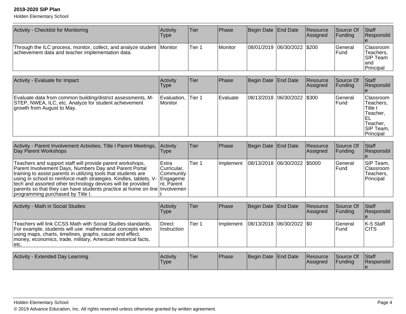| <b>Activity - Checklist for Monitoring</b>                                                                                  | Activitv<br>Type | Tier   | <b>IPhase</b> | Begin Date End Date         | Resource<br>Assigned | Source Of<br><b>IFunding</b> | <b>Staff</b><br><b>Responsibl</b>                                 |
|-----------------------------------------------------------------------------------------------------------------------------|------------------|--------|---------------|-----------------------------|----------------------|------------------------------|-------------------------------------------------------------------|
| Through the ILC process, monitor, collect, and analyze student Monitor<br>achievement data and teacher implementation data. |                  | Tier 1 | Monitor       | 08/01/2019 06/30/2022 \$200 |                      | lGeneral<br>lFund            | <b>Classroom</b> I<br>Teachers,<br>ISIP Team<br>land<br>Principal |

| Activity - Evaluate for Impact                                                                                                                     | <b>Activity</b><br>Type  | lTier  | <b>Phase</b> | Begin Date End Date         | Resource<br>Assigned | Source Of<br>IFundina          | Staff<br><b>Responsibl</b>                                                                  |
|----------------------------------------------------------------------------------------------------------------------------------------------------|--------------------------|--------|--------------|-----------------------------|----------------------|--------------------------------|---------------------------------------------------------------------------------------------|
| Evaluate data from common building/district assessments, M-<br>STEP, NWEA, ILC, etc. Analyze for student achievement<br>growth from August to May. | Evaluation,<br>l Monitor | Tier 1 | Evaluate     | 08/13/2018 06/30/2022 \$300 |                      | <b>Seneral</b><br><b>IFund</b> | lClassroom<br>Teachers.<br>Title I<br>Teacher.<br>∣⊨∟<br>Teacher,<br>SIP Team,<br>Principal |

| Activity - Parent Involvement Activities, Title I Parent Meetings,<br>Day Parent Workshops                                                                                                                                                                                                                                                                                                                                                                | <b>Activity</b><br>l ype                            | lTier. | <b>Phase</b> | Begin Date End Date            | Resource<br><b>Assigned</b> | Source Of<br><b>IFunding</b> | <b>Staff</b><br>Responsibl                        |
|-----------------------------------------------------------------------------------------------------------------------------------------------------------------------------------------------------------------------------------------------------------------------------------------------------------------------------------------------------------------------------------------------------------------------------------------------------------|-----------------------------------------------------|--------|--------------|--------------------------------|-----------------------------|------------------------------|---------------------------------------------------|
| Teachers and support staff will provide parent workshops,<br>Parent Involvement Days, Numbers Day and Parent Portal<br>training to assist parents in utilizing tools that students are<br>using in school to reinforce math strategies. Kindles, tablets, V-   Engageme<br>tech and assorted other technology devices will be provided<br>parents so that they can have students practice at home on line Involvemen<br>programming purchased by Title I. | l Extra<br>Curricular.<br> Community<br>Int. Parent | Tier 1 | l Implement  | 08/13/2018  06/30/2022  \$5000 |                             | <b>IGeneral</b><br>lFund     | SIP Team,<br> Classroom<br>Teachers.<br>Principal |

| Activity - Math in Social Studies                                                                                                                                                                                                                              | Activitv<br>Type                    | Tier   | <b>IPhase</b>     | Begin Date End Date         | <b>Resource</b><br><b>Assigned</b> | <b>Source Of</b><br><b>IFunding</b> | <b>Staff</b><br>Responsibl |
|----------------------------------------------------------------------------------------------------------------------------------------------------------------------------------------------------------------------------------------------------------------|-------------------------------------|--------|-------------------|-----------------------------|------------------------------------|-------------------------------------|----------------------------|
| Teachers will link CCSS Math with Social Studies standards.<br>For example, students will use mathematical concepts when<br>using maps, charts, timelines, graphs, cause and effect,<br>money, economics, trade, military, American historical facts,<br>letc. | <b>Direct</b><br><b>Instruction</b> | Tier 1 | <b>Ilmplement</b> | 08/13/2018  06/30/2022  \$0 |                                    | lGeneral<br>lFund                   | IK-5 Staff<br><b>ICITS</b> |

| Activity - Extended Day Learning | <b>Activity</b><br>'Type | 'Tier | Phase | Begin Date End Date | <b>Resource</b><br><b>Assigned</b> | Source Of<br>Funding | <b>Staff</b><br><b>Responsibl</b> |
|----------------------------------|--------------------------|-------|-------|---------------------|------------------------------------|----------------------|-----------------------------------|
|                                  |                          |       |       |                     |                                    |                      |                                   |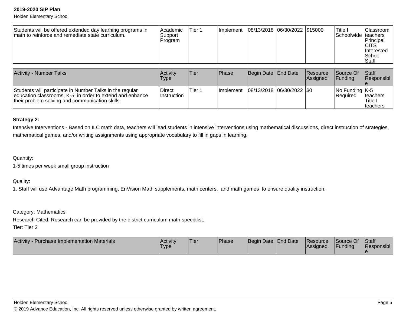Holden Elementary School

| Students will be offered extended day learning programs in<br>math to reinforce and remediate state curriculum. | <b>Academic</b><br>Support<br>Program | Tier 1 | <b>Ilmplement</b> | 08/13/2018  06/30/2022  \$15000 |  |  | Title i<br>Schoolwide Iteachers | IClassroom<br><b>Principal</b><br><b>CITS</b><br><b>Interested</b><br><b>ISchool</b><br> Staff |
|-----------------------------------------------------------------------------------------------------------------|---------------------------------------|--------|-------------------|---------------------------------|--|--|---------------------------------|------------------------------------------------------------------------------------------------|
|-----------------------------------------------------------------------------------------------------------------|---------------------------------------|--------|-------------------|---------------------------------|--|--|---------------------------------|------------------------------------------------------------------------------------------------|

| <b>Activity - Number Talks</b>                                                                                                                                           | Activity<br>Type             | Tier    | <b>Phase</b>                              | Begin Date End Date | Resource<br>Assigned | Source Of<br><b>IFunding</b>                      | <b>Staff</b><br>Responsibl       |
|--------------------------------------------------------------------------------------------------------------------------------------------------------------------------|------------------------------|---------|-------------------------------------------|---------------------|----------------------|---------------------------------------------------|----------------------------------|
| Students will participate in Number Talks in the regular<br>education classrooms, K-5, in order to extend and enhance<br>their problem solving and communication skills. | Direct<br><b>Instruction</b> | lTier 1 | Implement   08/13/2018   06/30/2022   \$0 |                     |                      | $\vert$ No Funding $\vert$ K-5<br><b>Required</b> | Iteachers<br>Title.<br>Iteachers |

### **Strategy 2:**

Intensive Interventions - Based on ILC math data, teachers will lead students in intensive interventions using mathematical discussions, direct instruction of strategies,mathematical games, and/or writing assignments using appropriate vocabulary to fill in gaps in learning.

#### Quantity:

1-5 times per week small group instruction

Quality:

1. Staff will use Advantage Math programming, EnVision Math supplements, math centers, and math games to ensure quality instruction.

Category: Mathematics

Research Cited: Research can be provided by the district curriculum math specialist.

Tier: Tier 2

| <b>Activity</b><br>v - Purchase Implementation Materials | Activity<br>'Type | 'Tier | Phase | Begin Date End Date | <b>Resource</b><br>lAssianed | Source Of<br>Funding | <b>Staff</b><br>Responsibl |
|----------------------------------------------------------|-------------------|-------|-------|---------------------|------------------------------|----------------------|----------------------------|
|                                                          |                   |       |       |                     |                              |                      |                            |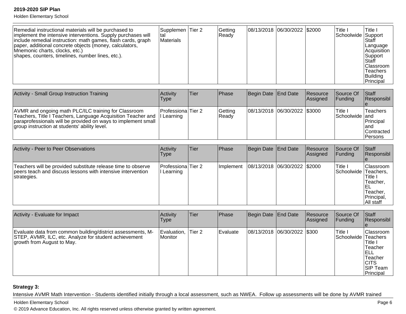Holden Elementary School

| Remedial instructional materials will be purchased to<br>implement the intensive interventions. Supply purchases will<br>include remedial instruction: math games, flash cards, graph<br>paper, additional concrete objects (money, calculators,<br>Mnemonic charts, clocks, etc.)<br>shapes, counters, timelines, number lines, etc.). | Supplemen Tier 2<br>ltal<br>Materials |  | Getting<br> Ready |  | 08/13/2018 06/30/2022 \$2000 |  | Title I<br>Schoolwide Support | Title I<br>Staff<br> Language<br> Acquisition<br>Support<br>Staff<br><b>Classroom</b><br><b>Teachers</b><br><b>Building</b><br>Principal |
|-----------------------------------------------------------------------------------------------------------------------------------------------------------------------------------------------------------------------------------------------------------------------------------------------------------------------------------------|---------------------------------------|--|-------------------|--|------------------------------|--|-------------------------------|------------------------------------------------------------------------------------------------------------------------------------------|
|-----------------------------------------------------------------------------------------------------------------------------------------------------------------------------------------------------------------------------------------------------------------------------------------------------------------------------------------|---------------------------------------|--|-------------------|--|------------------------------|--|-------------------------------|------------------------------------------------------------------------------------------------------------------------------------------|

| Activity - Small Group Instruction Training                                                                                                                                                                                            | <b>Activity</b><br>Type           | Tier | <b>Phase</b>     | Begin Date End Date |                              | <b>Resource</b><br><b>Assigned</b> | Source Of<br><b>IFunding</b> | <b>Staff</b><br>Responsibl                                             |
|----------------------------------------------------------------------------------------------------------------------------------------------------------------------------------------------------------------------------------------|-----------------------------------|------|------------------|---------------------|------------------------------|------------------------------------|------------------------------|------------------------------------------------------------------------|
| AVMR and ongoing math PLC/ILC training for Classroom<br>Teachers, Title I Teachers, Language Acquisition Teacher and<br>paraprofessionals will be provided on ways to implement small<br>group instruction at students' ability level. | Professiona Tier 2<br>II Learning |      | Getting<br>Ready |                     | 08/13/2018 06/30/2022 \$3000 |                                    | Title i<br>ISchoolwide land  | <b>Teachers</b><br>Principal<br>land<br><b>Contracted</b><br>l Persons |

| Activity - Peer to Peer Observations                                                                                                       | Activity<br>Type               | Tier | <b>Phase</b> | Begin Date End Date          | Resource<br>Assigned | Source Of<br>IFundina           | <b>Staff</b><br>Responsibl                                                          |
|--------------------------------------------------------------------------------------------------------------------------------------------|--------------------------------|------|--------------|------------------------------|----------------------|---------------------------------|-------------------------------------------------------------------------------------|
| Teachers will be provided substitute release time to observe<br>peers teach and discuss lessons with intensive intervention<br>strategies. | Professiona Tier 2<br>Learning |      | Implement    | 08/13/2018 06/30/2022 \$2000 |                      | Title I<br>Schoolwide Teachers, | <b>Classroom</b><br>Title,<br>Teacher,<br>╘<br>Teacher.<br>Principal,<br>IAll staff |

| Activity - Evaluate for Impact                                                                                                                     | Activity<br><b>Type</b>  | <b>ITier</b> | <b>Phase</b> | Begin Date End Date         | Resource<br>Assigned | Source Of<br><b>Funding</b>    | Staff<br>Responsibl                                                                                  |
|----------------------------------------------------------------------------------------------------------------------------------------------------|--------------------------|--------------|--------------|-----------------------------|----------------------|--------------------------------|------------------------------------------------------------------------------------------------------|
| Evaluate data from common building/district assessments, M-<br>STEP, AVMR, ILC, etc. Analyze for student achievement<br>growth from August to May. | Evaluation,<br>l Monitor | Tier 2       | l Evaluate   | 08/13/2018 06/30/2022 \$300 |                      | Title I<br>Schoolwide Teachers | lClassroom<br>Title I<br>Teacher<br>IELL<br> Teacher<br><b>ICITS</b><br><b>SIP Team</b><br>Principal |

#### **Strategy 3:**

Intensive AVMR Math Intervention - Students identified initially through a local assessment, such as NWEA. Follow up assessments will be done by AVMR trained

Holden Elementary School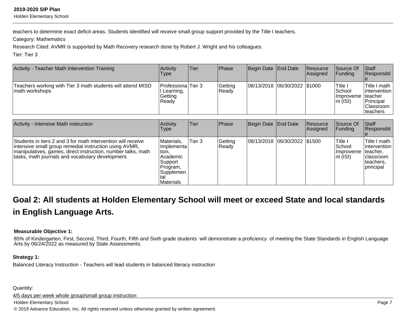Holden Elementary School

teachers to determine exact deficit areas. Students identified will receive small group support provided by the Title I teachers.

Category: Mathematics

Research Cited: AVMR is supported by Math Recovery research done by Robert J. Wright and his colleagues.

Tier: Tier 3

| Activity - Teacher Math Intervention Training                                 | Activity<br>Type                                     | Tier | Phase            | Begin Date End Date          | <b>Resource</b><br>Assigned | Source Of<br><b>IFunding</b>                                         | $\vert$ Staff<br>Responsibl                                                         |
|-------------------------------------------------------------------------------|------------------------------------------------------|------|------------------|------------------------------|-----------------------------|----------------------------------------------------------------------|-------------------------------------------------------------------------------------|
| Teachers working with Tier 3 math students will attend MISD<br>math workshops | Professiona Tier 3<br>Learning,<br>Getting<br> Readv |      | Getting<br>Ready | 08/13/2018 06/30/2022 \$1000 |                             | <b>ITitle</b> I<br>lSchool<br>Ilmproveme Iteacher<br>$ nt$ ( $ SI$ ) | ITitle I math<br>lintervention<br><b>Principal</b><br><b>Classroom</b><br>Iteachers |

| Activity - Intensive Math instruction                                                                                                                                                                                                       | Activity<br>l ype                                                                                          | Tier   | <b>Phase</b>     | Begin Date End Date |                              | <b>Resource</b><br>Assigned | Source Of<br>IFundina                                                   | <b>Staff</b><br>Responsibl                                                            |
|---------------------------------------------------------------------------------------------------------------------------------------------------------------------------------------------------------------------------------------------|------------------------------------------------------------------------------------------------------------|--------|------------------|---------------------|------------------------------|-----------------------------|-------------------------------------------------------------------------|---------------------------------------------------------------------------------------|
| Students in tiers 2 and 3 for math intervention will receive<br>intensive small group remedial instruction using AVMR,<br> manipulatives, games, direct instruction, number talks, math<br>tasks, math journals and vocabulary development. | Materials,<br>Ilmplementa l<br>tion,<br>Academic<br>Support<br>Program,<br> Supplemen <br><b>Materials</b> | Tier 3 | Getting<br>Ready |                     | 08/13/2018 06/30/2022 \$1500 |                             | <sup>I</sup> Title I<br>lSchool<br><i>Ilmproveme</i><br>$ nt$ ( $ SI$ ) | Title I math<br>lintervention I<br>Iteacher,<br>Iclassroom<br>Iteachers.<br>principal |

# **Goal 2: All students at Holden Elementary School will meet or exceed State and local standardsin English Language Arts.**

#### **Measurable Objective 1:**

85% of Kindergarten, First, Second, Third, Fourth, Fifth and Sixth grade students will demonstrate a proficiency of meeting the State Standards in English LanguageArts by 06/24/2022 as measured by State Assessments.

#### **Strategy 1:**

Balanced Literacy Instruction - Teachers will lead students in balanced literacy instruction

Quantity:

4/5 days per week whole group/small group instruction

Holden Elementary School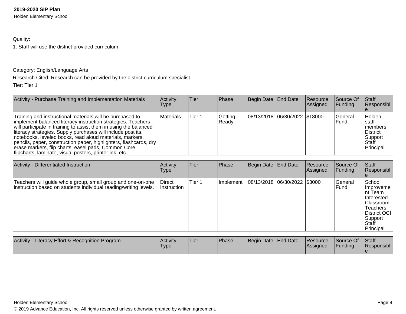Holden Elementary School

# Quality:

1. Staff will use the district provided curriculum.

## Category: English/Language Arts

Research Cited: Research can be provided by the district curriculum specialist.

Tier: Tier 1

| Activity - Purchase Training and Implementation Materials                                                                                                                                                                                                                                                                                                                                                                                                                                                         | Activity<br><b>Type</b> | Tier   | <b>Phase</b>     | Begin Date End Date |                               | <b>Resource</b><br>Assigned | <b>Source Of</b><br>IFundina | <b>Staff</b><br>Responsibl                                                         |
|-------------------------------------------------------------------------------------------------------------------------------------------------------------------------------------------------------------------------------------------------------------------------------------------------------------------------------------------------------------------------------------------------------------------------------------------------------------------------------------------------------------------|-------------------------|--------|------------------|---------------------|-------------------------------|-----------------------------|------------------------------|------------------------------------------------------------------------------------|
| Training and instructional materials will be purchased to<br>implement balanced literacy instruction strategies. Teachers<br>will participate in training to assist them in using the balanced<br>literacy strategies. Supply purchases will include post its,<br>notebooks, leveled books, read aloud materials, markers,<br>pencils, paper, construction paper, highlighters, flashcards, dry<br>erase markers, flip charts, easel pads, Common Core<br>flipcharts, laminate, visual posters, printer ink, etc. | Materials               | Tier 1 | Getting<br>Ready |                     | 08/13/2018 06/30/2022 \$18000 |                             | lGeneral<br>IFund            | Holden<br>Istaff<br>Imembers<br><b>IDistrict</b><br> Support<br>Staff<br>Principal |

| Activity - Differentiated Instruction                                                                                           | Activity<br>Type             | <b>Tier</b> | Phase     | Begin Date End Date |                              | Resource<br>Assigned | Source Of<br>Funding | Staff<br>Responsibl                                                                                                              |
|---------------------------------------------------------------------------------------------------------------------------------|------------------------------|-------------|-----------|---------------------|------------------------------|----------------------|----------------------|----------------------------------------------------------------------------------------------------------------------------------|
| Teachers will guide whole group, small group and one-on-one<br>instruction based on students individual reading/writing levels. | Direct<br><b>Instruction</b> | Tier 1      | Implement |                     | 08/13/2018 06/30/2022 \$3000 |                      | General<br>Fund      | School<br>Ilmproveme<br>Int Team<br><b>Interested</b><br>lClassroom<br>Teachers<br>District OCI<br>Support<br>Staff<br>Principal |

| Literacy Effort & Recognition Program<br><b>Activity</b> | Activitv<br>'Type | 'Tier | <b>Phase</b> | Begin Date End Date | <b>Resource</b><br> Assigned | Source Of<br>Funding | <b>Staff</b><br>Responsibl |
|----------------------------------------------------------|-------------------|-------|--------------|---------------------|------------------------------|----------------------|----------------------------|
|                                                          |                   |       |              |                     |                              |                      |                            |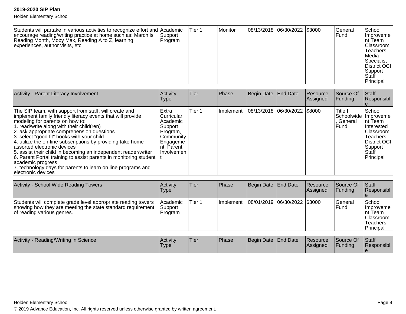| Students will partake in various activities to recognize effort and Academic<br>encourage reading/writing practice at home such as: March is<br>Reading Month, Moby Max, Reading A to Z, learning<br>experiences, author visits, etc. | Support<br>Program | Tier 1 | Monitor |  | 08/13/2018  06/30/2022   \$3000 |  | lGeneral<br>l Fund | School<br><i>Ilmproveme</i><br>Int Team<br> Classroom<br><b>Teachers</b><br><b>IMedia</b><br>Specialist<br>District OCI<br> Support<br><b>Staff</b><br>Principal |
|---------------------------------------------------------------------------------------------------------------------------------------------------------------------------------------------------------------------------------------|--------------------|--------|---------|--|---------------------------------|--|--------------------|------------------------------------------------------------------------------------------------------------------------------------------------------------------|
|---------------------------------------------------------------------------------------------------------------------------------------------------------------------------------------------------------------------------------------|--------------------|--------|---------|--|---------------------------------|--|--------------------|------------------------------------------------------------------------------------------------------------------------------------------------------------------|

| Activity - Parent Literacy Involvement                                                                                                                                                                                                                                                                                                                                                                                                                                                                                                                                                                                                              | Activity<br>Type                                                                                              | Tier   | Phase     | Begin Date End Date          | Resource<br>Assigned | Source Of<br>Funding                                   | <b>Staff</b><br>Responsibl                                                                                                 |
|-----------------------------------------------------------------------------------------------------------------------------------------------------------------------------------------------------------------------------------------------------------------------------------------------------------------------------------------------------------------------------------------------------------------------------------------------------------------------------------------------------------------------------------------------------------------------------------------------------------------------------------------------------|---------------------------------------------------------------------------------------------------------------|--------|-----------|------------------------------|----------------------|--------------------------------------------------------|----------------------------------------------------------------------------------------------------------------------------|
| The SIP team, with support from staff, will create and<br>implement family friendly literacy events that will provide<br>modeling for parents on how to:<br>1. read/write along with their child(ren)<br>2. ask appropriate comprehension questions<br>3. select "good fit" books with your child<br>4. utilize the on-line subscriptions by providing take home<br>assorted electronic devices<br>5. assist their child in becoming an independent reader/writer<br>6. Parent Portal training to assist parents in monitoring student  <br>academic progress<br>7. technology days for parents to learn on line programs and<br>electronic devices | Extra<br>Curricular,<br>Academic<br>Support<br>Program,<br>Community<br>Engageme<br>Int, Parent<br>Involvemen | Tier 1 | Implement | 08/13/2018 06/30/2022 \$8000 |                      | Title I<br>Schoolwide Improveme<br>. General<br>lFund. | School<br>Int Team<br><b>Interested</b><br><b>Classroom</b><br>lTeachers<br>District OCI<br>Support<br>lStaff<br>Principal |

| Activity - School Wide Reading Towers                                                                                                                      | Activity<br>Type                   | lTier. | <b>Phase</b> | Begin Date   End Date          | Resource<br><b>Assigned</b> | Source Of<br>IFundina     | <b>Staff</b><br>Responsibl                                                                   |
|------------------------------------------------------------------------------------------------------------------------------------------------------------|------------------------------------|--------|--------------|--------------------------------|-----------------------------|---------------------------|----------------------------------------------------------------------------------------------|
| Students will complete grade level appropriate reading towers<br>showing how they are meeting the state standard requirement<br>of reading various genres. | l Academic<br> Support<br> Program | Tier 1 | Ilmplement   | 08/01/2019  06/30/2022  \$3000 |                             | <b>IGeneral</b><br>l Fund | <b>School</b><br><i>Ilmproveme</i><br>Int Team<br> Classroom<br><b>Teachers</b><br>Principal |

| - Reading/Writing in Science<br><b>Activity</b> | Activity<br>'Type | <b>Tier</b> | <sup>I</sup> Phase | Begin Date End Date | <b>Resource</b><br><b>Assigned</b> | Source Of<br><b>IFunding</b> | Staff<br><b>Responsibl</b> |
|-------------------------------------------------|-------------------|-------------|--------------------|---------------------|------------------------------------|------------------------------|----------------------------|
|                                                 |                   |             |                    |                     |                                    |                              |                            |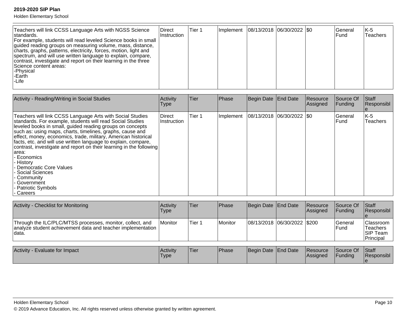| Teachers will link CCSS Language Arts with NGSS Science<br><b>IDirect</b><br>Istandards.<br>For example, students will read leveled Science books in small<br>guided reading groups on measuring volume, mass, distance,<br>charts, graphs, patterns, electricity, forces, motion, light and<br>spectrum, and will use written language to explain, compare,<br>contrast, investigate and report on their learning in the three<br>Science content areas:<br>-Physical<br>l-Earth<br>-Life | Instruction | lTier 1 |  |  | Implement   08/13/2018   06/30/2022   \$0 |  | lGeneral<br>IFund | K-5<br>Teachers |
|--------------------------------------------------------------------------------------------------------------------------------------------------------------------------------------------------------------------------------------------------------------------------------------------------------------------------------------------------------------------------------------------------------------------------------------------------------------------------------------------|-------------|---------|--|--|-------------------------------------------|--|-------------------|-----------------|
|--------------------------------------------------------------------------------------------------------------------------------------------------------------------------------------------------------------------------------------------------------------------------------------------------------------------------------------------------------------------------------------------------------------------------------------------------------------------------------------------|-------------|---------|--|--|-------------------------------------------|--|-------------------|-----------------|

| Activity - Reading/Writing in Social Studies                                                                                                                                                                                                                                                                                                                                                                                                                                                                                                                                                                      | Activity<br>Type      | Tier   | Phase     | Begin Date End Date      | Resource<br>Assigned | Source Of<br>Funding | Staff<br>Responsibl |
|-------------------------------------------------------------------------------------------------------------------------------------------------------------------------------------------------------------------------------------------------------------------------------------------------------------------------------------------------------------------------------------------------------------------------------------------------------------------------------------------------------------------------------------------------------------------------------------------------------------------|-----------------------|--------|-----------|--------------------------|----------------------|----------------------|---------------------|
| Teachers will link CCSS Language Arts with Social Studies<br>standards. For example, students will read Social Studies<br>leveled books in small, guided reading groups on concepts<br>such as: using maps, charts, timelines, graphs, cause and<br>effect, money, economics, trade, military, American historical<br>facts, etc. and will use written language to explain, compare,<br>contrast, investigate and report on their learning in the following<br>larea:<br>Economics<br>History<br>· Democratic Core Values<br>- Social Sciences<br>- Community<br>- Government<br>- Patriotic Symbols<br>- Careers | Direct<br>Instruction | Tier 1 | Implement | 08/13/2018 06/30/2022 50 |                      | lGeneral<br>lFund.   | K-5<br>Teachers     |

| Activity - Checklist for Monitoring                                                                                                | <b>Activity</b><br>Type | lTier  | <b>IPhase</b> | Begin Date End Date           | Resource<br><b>Assigned</b> | <b>Source Of</b><br><b>IFunding</b> | <b>Staff</b><br>Responsibl                             |
|------------------------------------------------------------------------------------------------------------------------------------|-------------------------|--------|---------------|-------------------------------|-----------------------------|-------------------------------------|--------------------------------------------------------|
| Through the ILC/PLC/MTSS processes, monitor, collect, and<br>analyze student achievement data and teacher implementation<br>Idata. | <b>Monitor</b>          | Tier 1 | l Monitor     | 08/13/2018  06/30/2022  \$200 |                             | lGeneral<br>l Fund                  | Classroom<br><b>Teachers</b><br>ISIP Team<br>Principal |

| Activity<br>Evaluate for Impact | <b>Activity</b><br>'Type | .<br>Tier | <b>Phase</b> | Begin Date End Date |  | <b>Resource</b><br><b>IAssianed</b> | Source Of<br>Funding | Staff<br>Responsibl |
|---------------------------------|--------------------------|-----------|--------------|---------------------|--|-------------------------------------|----------------------|---------------------|
|---------------------------------|--------------------------|-----------|--------------|---------------------|--|-------------------------------------|----------------------|---------------------|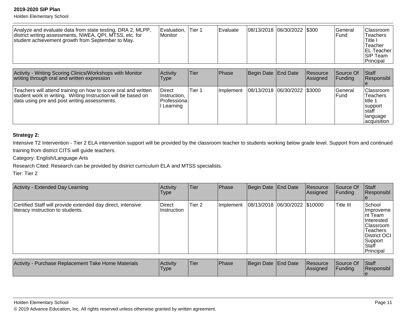Holden Elementary School

| Analyze and evaluate data from state testing, DRA 2, MLPP,<br>district writing assessments, NWEA, QPI, MTSS, etc. for<br>student achievement growth from September to May. | Evaluation.<br><b>Monitor</b> | Tier 1 | l Evaluate |  | 08/13/2018 06/30/2022 \$300 |  | lGeneral<br>lFund | Classroom  <br>Teachers<br>Title .<br>Teacher<br>IEL Teacher I<br><b>SIP Team</b><br>Principal |
|----------------------------------------------------------------------------------------------------------------------------------------------------------------------------|-------------------------------|--------|------------|--|-----------------------------|--|-------------------|------------------------------------------------------------------------------------------------|
|----------------------------------------------------------------------------------------------------------------------------------------------------------------------------|-------------------------------|--------|------------|--|-----------------------------|--|-------------------|------------------------------------------------------------------------------------------------|

| Activity - Writing Scoring Clinics/Workshops with Monitor<br>writing through oral and written expression                                                                        | Activity<br>Type                                    | <b>Tier</b> | <b>Phase</b> | Begin Date End Date             | <b>Resource</b><br><b>Assigned</b> | Source Of<br><b>IFundina</b> | <b>Staff</b><br><b>Responsibl</b>                                                                                             |
|---------------------------------------------------------------------------------------------------------------------------------------------------------------------------------|-----------------------------------------------------|-------------|--------------|---------------------------------|------------------------------------|------------------------------|-------------------------------------------------------------------------------------------------------------------------------|
| Teachers will attend training on how to score oral and written<br>student work in writing. Writing Instruction will be based on<br>data using pre and post writing assessments. | Direct<br>Instruction,<br> Professiona <br>Learning | Tier 1      | Ilmplement   | 08/13/2018  06/30/2022   \$3000 |                                    | <b>IGeneral</b><br>lFund     | <b>Classroom</b><br><b>Teachers</b><br>l title 1<br><b>Isupport</b><br><b>Istaff</b><br><b>language</b><br><i>acquisition</i> |

#### **Strategy 2:**

Intensive T2 Intervention - Tier 2 ELA intervention support will be provided by the classroom teacher to students working below grade level. Support from and continuedtraining from district CITS will guide teachers.

Category: English/Language Arts

Research Cited: Research can be provided by district curriculum ELA and MTSS specialists.

Tier: Tier 2

| Activity - Extended Day Learning                                                                 | Activity<br>Type             | Tier              | Phase     | Begin Date End Date |                               | Resource<br>Assigned | Source Of<br>Funding | Staff<br>Responsibl                                                                                                      |
|--------------------------------------------------------------------------------------------------|------------------------------|-------------------|-----------|---------------------|-------------------------------|----------------------|----------------------|--------------------------------------------------------------------------------------------------------------------------|
| Certified Staff will provide extended day direct, intensive<br>literacy instruction to students. | <b>Direct</b><br>Instruction | Tier <sub>2</sub> | Implement |                     | 08/13/2018 06/30/2022 \$10000 |                      | Title III            | School<br>Improveme<br>Int Team<br>Interested<br> Classroom<br>Teachers<br>District OCI<br>Support<br>Staff<br>Principal |

| Activity - Purchase Replacement Take Home Materials | Activity<br>'Type | 'Tier | <b>Phase</b> | Begin Date End Date | <b>Resource</b><br><b>IAssigned</b> | Source Of<br><b>IFundina</b> | Staff<br>Responsibl |
|-----------------------------------------------------|-------------------|-------|--------------|---------------------|-------------------------------------|------------------------------|---------------------|
|                                                     |                   |       |              |                     |                                     |                              |                     |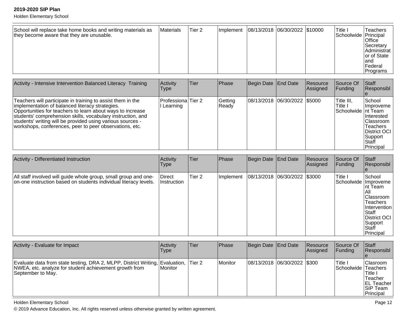Holden Elementary School

| Activity - Intensive Intervention Balanced Literacy Training                                                                                                                                                                                                                                                                                                         | Activity<br>Type               | ∣Tier | <b>Phase</b>     | Begin Date End Date          | Resource<br><b>Assigned</b> | Source Of<br><b>Funding</b>                  | Staff<br>Responsibl                                                                                                                  |
|----------------------------------------------------------------------------------------------------------------------------------------------------------------------------------------------------------------------------------------------------------------------------------------------------------------------------------------------------------------------|--------------------------------|-------|------------------|------------------------------|-----------------------------|----------------------------------------------|--------------------------------------------------------------------------------------------------------------------------------------|
| Teachers will participate in training to assist them in the<br>implementation of balanced literacy strategies.<br>Opportunities for teachers to learn about ways to increase<br>students' comprehension skills, vocabulary instruction, and<br>students' writing will be provided using various sources -<br>workshops, conferences, peer to peer observations, etc. | Professiona Tier 2<br>Learning |       | Getting<br>Ready | 08/13/2018 06/30/2022 \$5000 |                             | Title III,<br>Title I<br>Schoolwide Int Team | School<br><b>Ilmproveme</b><br><b>Interested</b><br> Classroom<br><b>Teachers</b><br>District OCI<br>Support<br>l Staff<br>Principal |

| Activity - Differentiated Instruction                                                                                               | Activity<br>Type      | Tier   | Phase     | Begin Date End Date              | Resource<br>Assigned | Source Of<br><b>Funding</b>       | Staff<br>Responsibl                                                                                                                                        |
|-------------------------------------------------------------------------------------------------------------------------------------|-----------------------|--------|-----------|----------------------------------|----------------------|-----------------------------------|------------------------------------------------------------------------------------------------------------------------------------------------------------|
| All staff involved will guide whole group, small group and one-<br>on-one instruction based on students individual literacy levels. | Direct<br>Instruction | Tier 2 | Implement | $ 08/13/2018 06/30/2022 $ \$3000 |                      | Title I<br>Schoolwide   Improveme | School<br>Int Team<br>IAII<br><b>Classroom</b><br><b>Teachers</b><br>Intervention<br><b>Staff</b><br>District OCI<br> Support<br><b>Staff</b><br>Principal |

| Activity - Evaluate for Impact                                                                                                                              | <b>Activity</b><br><b>Type</b> | lTier  | <b>Phase</b> | Begin Date   End Date         | Resource<br>Assigned | Source Of<br>IFundina.          | <b>Staff</b><br>Responsibl                                                                  |
|-------------------------------------------------------------------------------------------------------------------------------------------------------------|--------------------------------|--------|--------------|-------------------------------|----------------------|---------------------------------|---------------------------------------------------------------------------------------------|
| Evaluate data from state testing, DRA 2, MLPP, District Writing, Evaluation,<br>NWEA, etc. analyze for student achievement growth from<br>September to May. | l Monitor                      | Tier 2 | Monitor      | 08/13/2018  06/30/2022  \$300 |                      | 'Title ،<br>Schoolwide Teachers | <b>Clasroom</b><br>lTitle I<br>Teacher<br><b>EL Teacher</b><br><b>SIP Team</b><br>Principal |

Holden Elementary School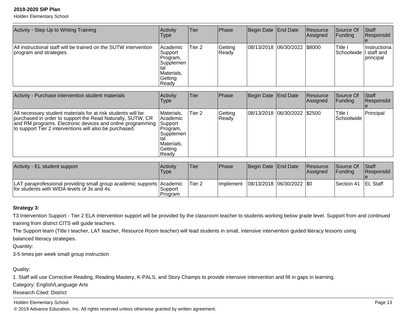Holden Elementary School

| Activity - Step Up to Writing Training                                                      | Activity<br><b>Type</b>                                                            | <b>ITier</b> | <b>Phase</b>     | Begin Date   End Date          | Resource<br>Assigned | Source Of<br> Funding              | Staff<br>Responsibl               |
|---------------------------------------------------------------------------------------------|------------------------------------------------------------------------------------|--------------|------------------|--------------------------------|----------------------|------------------------------------|-----------------------------------|
| All instructional staff will be trained on the SUTW intervention<br>program and strategies. | Academic<br> Support <br>Program,<br> Supplemen <br>Materials,<br>Getting<br>Ready | Tier 2       | Getting<br>Ready | 08/13/2018  06/30/2022  \$8000 |                      | 'Title I<br>Schoolwide   staff and | Instructiona<br><i>Iprincipal</i> |

| Activity - Purchase intervention student materials                                                                                                                                                                                                  | Activity<br>Type                                                                                 | Tier   | <b>Phase</b>     | Begin Date End Date          | Resource<br>Assigned | Source Of<br><b>Funding</b> | <b>Staff</b><br>Responsibl |
|-----------------------------------------------------------------------------------------------------------------------------------------------------------------------------------------------------------------------------------------------------|--------------------------------------------------------------------------------------------------|--------|------------------|------------------------------|----------------------|-----------------------------|----------------------------|
| All necessary student materials for at risk students will be<br>purchased in order to support the Read Naturally, SUTW, CR<br>and RM programs. Electronic devices and online programming<br>to support Tier 2 interventions will also be purchased. | Materials,<br>l Academic<br>Support<br>∣Program,<br>Supplemen<br>Materials,<br>Getting<br> Ready | Tier 2 | Getting<br>Ready | 08/13/2018 06/30/2022 \$2500 |                      | Title I<br>Schoolwide       | Principal                  |

| Activity - EL student support                                                                                        | Activity<br>Type   | Tier    | Phase | Begin Date End Date                       | Resource<br>lAssianed | <b>Source Of</b><br>IFundina | <b>Staff</b><br><b>Responsibl</b> |
|----------------------------------------------------------------------------------------------------------------------|--------------------|---------|-------|-------------------------------------------|-----------------------|------------------------------|-----------------------------------|
| LAT paraprofessional providing small group academic supports Academic<br>for students with WIDA levels of 3s and 4s. | Support<br>Program | 'Tier 2 |       | Implement   08/13/2018   06/30/2022   \$0 |                       | <b>Section 41</b>            | <b>EL Staff</b>                   |

#### **Strategy 3:**

T3 Intervention Support - Tier 2 ELA intervention support will be provided by the classroom teacher to students working below grade level. Support from and continuedtraining from district CITS will guide teachers.

The Support team (Title I teacher, LAT teacher, Resource Room teacher) will lead students in small, intensive intervention guided literacy lessons usingbalanced literacy strategies.

Quantity:

3-5 times per week small group instruction

### Quality:

1. Staff will use Corrective Reading, Reading Mastery, K-PALS, and Story Champs to provide intensive intervention and fill in gaps in learning.

Category: English/Language Arts

Research Cited: District

#### Holden Elementary School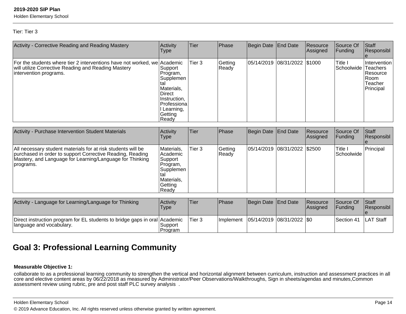Holden Elementary School

### Tier: Tier 3

| Activity - Corrective Reading and Reading Mastery                                                                                                         | Activity<br><b>Type</b>                                                                                                   | <b>Tier</b> | Phase            | Begin Date End Date          | Resource<br>Assigned | Source Of<br> Funding            | <b>Staff</b><br>Responsibl                                       |
|-----------------------------------------------------------------------------------------------------------------------------------------------------------|---------------------------------------------------------------------------------------------------------------------------|-------------|------------------|------------------------------|----------------------|----------------------------------|------------------------------------------------------------------|
| For the students where tier 2 interventions have not worked, we Academic<br>will utilize Corrective Reading and Reading Mastery<br>intervention programs. | Support<br>Program,<br>Supplemen<br>Materials,<br>∣Direct<br>Instruction,<br>Professiona<br>Learning,<br>Getting<br>Ready | Tier 3      | Getting<br>Ready | 05/14/2019 08/31/2022 \$1000 |                      | Title I<br>Schoolwide   Teachers | <b>Intervention</b><br>Resource<br>IRoom<br>Teacher<br>Principal |

| Activity - Purchase Intervention Student Materials                                                                                                                                                 | Activity<br>Type                                                                                    | Tier   | <b>Phase</b>     | Begin Date End Date |                              | <b>Resource</b><br>Assigned | lSource Of<br> Fundina        | <b>Staff</b><br>Responsibl |
|----------------------------------------------------------------------------------------------------------------------------------------------------------------------------------------------------|-----------------------------------------------------------------------------------------------------|--------|------------------|---------------------|------------------------------|-----------------------------|-------------------------------|----------------------------|
| All necessary student materials for at risk students will be<br>purchased in order to support Corrective Reading, Reading<br>Mastery, and Language for Learning/Language for Thinking<br>programs. | Materials,<br> Academic <br> Support <br>Program,<br> Supplemen<br>Materials,<br> Getting<br> Ready | Tier 3 | Getting<br>Ready |                     | 05/14/2019 08/31/2022 \$2500 |                             | <b>Title I</b><br> Schoolwide | Principal                  |

| Activity - Language for Learning/Language for Thinking                                                 | Activity<br>Type    | lTier.  | <b>Phase</b>                              | Begin Date End Date | Resource<br>Assigned | Source Of<br><b>IFunding</b> | <b>Staff</b><br><b>Responsibl</b> |
|--------------------------------------------------------------------------------------------------------|---------------------|---------|-------------------------------------------|---------------------|----------------------|------------------------------|-----------------------------------|
| Direct instruction program for EL students to bridge gaps in oral Academic<br>language and vocabulary. | Support <br>Program | lTier 3 | Implement   05/14/2019   08/31/2022   \$0 |                     |                      | <b>Section 41</b>            | <b>LAT Staff</b>                  |

# **Goal 3: Professional Learning Community**

#### **Measurable Objective 1:**

collaborate to as a professional learning community to strengthen the vertical and horizontal alignment between curriculum, instruction and assessment practices in all<br>core and elective content areas by 06/22/2018 as measu

#### Holden Elementary School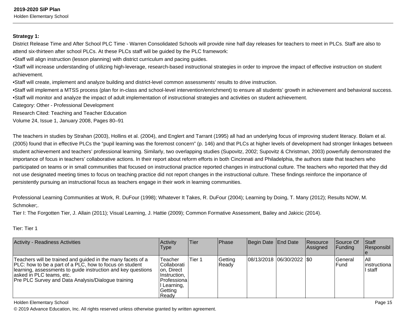Holden Elementary School

#### **Strategy 1:**

District Release Time and After School PLC Time - Warren Consolidated Schools will provide nine half day releases for teachers to meet in PLCs. Staff are also toattend six-thirteen after school PLCs. At these PLCs staff will be guided by the PLC framework:

•Staff will align instruction (lesson planning) with district curriculum and pacing guides.

•Staff will increase understanding of utilizing high-leverage, research-based instructional strategies in order to improve the impact of effective instruction on studentachievement.

•Staff will create, implement and analyze building and district-level common assessments' results to drive instruction.

•Staff will implement a MTSS process (plan for in-class and school-level intervention/enrichment) to ensure all students' growth in achievement and behavioral success.•Staff will monitor and analyze the impact of adult implementation of instructional strategies and activities on student achievement.

Category: Other - Professional Development

Research Cited: Teaching and Teacher Education

Volume 24, Issue 1, January 2008, Pages 80–91

The teachers in studies by Strahan (2003), Hollins et al. (2004), and Englert and Tarrant (1995) all had an underlying focus of improving student literacy. Bolam et al.(2005) found that in effective PLCs the "pupil learning was the foremost concern" (p. 146) and that PLCs at higher levels of development had stronger linkages betweenstudent achievement and teachers' professional learning. Similarly, two overlapping studies (Supovitz, 2002; Supovitz & Christman, 2003) powerfully demonstrated the importance of focus in teachers' collaborative actions. In their report about reform efforts in both Cincinnati and Philadelphia, the authors state that teachers who participated on teams or in small communities that focused on instructional practice reported changes in instructional culture. The teachers who reported that they didnot use designated meeting times to focus on teaching practice did not report changes in the instructional culture. These findings reinforce the importance ofpersistently pursuing an instructional focus as teachers engage in their work in learning communities.

Professional Learning Communities at Work, R. DuFour (1998); Whatever It Takes, R. DuFour (2004); Learning by Doing, T. Many (2012); Results NOW, M.Schmoker;.

Tier I: The Forgotten Tier, J. Allain (2011); Visual Learning, J. Hattie (2009); Common Formative Assessment, Bailey and Jakicic (2014).

Tier: Tier 1

| <b>Activity - Readiness Activities</b>                                                                                                                                                                                                                                   | <b>Activity</b><br>Type                                                                                    | Tier   | <b>Phase</b>     | Begin Date End Date      | Resource<br>Assigned | <b>Source Of</b><br>IFundina | <b>Staff</b><br>Responsibl       |
|--------------------------------------------------------------------------------------------------------------------------------------------------------------------------------------------------------------------------------------------------------------------------|------------------------------------------------------------------------------------------------------------|--------|------------------|--------------------------|----------------------|------------------------------|----------------------------------|
| Teachers will be trained and guided in the many facets of a<br>PLC: how to be a part of a PLC, how to focus on student<br>learning, assessments to guide instruction and key questions<br>asked in PLC teams, etc.<br>Pre PLC Survey and Data Analysis/Dialogue training | Teacher<br>lCollaborati<br>on, Direct<br>Instruction.<br>lProfessiona l<br>I Learning,<br>Getting<br>Ready | Tier 1 | Getting<br>Ready | 08/13/2018 06/30/2022 50 |                      | lGeneral<br>lFund            | IAII<br>linstructiona<br>l staff |

Holden Elementary School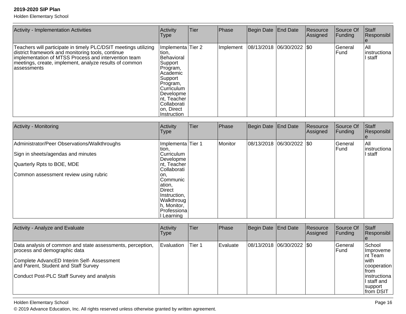Holden Elementary School

| <b>Activity - Implementation Activities</b>                                                                                                                                                                                                            | Activity<br><b>Type</b>                                                                                                                                                                            | Tier | Phase     | Begin Date End Date       | Resource<br>Assigned | Source Of<br>Funding | Start<br>Responsibl             |
|--------------------------------------------------------------------------------------------------------------------------------------------------------------------------------------------------------------------------------------------------------|----------------------------------------------------------------------------------------------------------------------------------------------------------------------------------------------------|------|-----------|---------------------------|----------------------|----------------------|---------------------------------|
| Teachers will participate in timely PLC/DSIT meetings utilizing<br>district framework and monitoring tools, continue<br>implementation of MTSS Process and intervention team<br>meetings, create, implement, analyze results of common<br>lassessments | Implementa Tier 2<br>tion,<br>Behavioral<br>Support<br>Program,<br>Academic<br> Support<br>Program,<br>lCurriculum i<br> Developme<br>∣nt, Teacher<br> Collaborati <br>∣on, Direct<br>∣Instruction |      | Implement | 08/13/2018 06/30/2022 \$0 |                      | lGeneral<br>lFund.   | All<br>Iinstructiona<br>l staff |

| <b>Activity - Monitoring</b>                 | Activity<br><b>Type</b>                                                                                              | Tier | Phase   | Begin Date End Date |                          | Resource<br>Assigned | Source Of<br>Funding | Staff<br>Responsibl   |
|----------------------------------------------|----------------------------------------------------------------------------------------------------------------------|------|---------|---------------------|--------------------------|----------------------|----------------------|-----------------------|
| Administrator/Peer Observations/Walkthroughs | Implementa Tier 1<br>tion,                                                                                           |      | Monitor |                     | 08/13/2018 06/30/2022 50 |                      | General<br> Fund     | IAII<br> instructiona |
| Sign in sheets/agendas and minutes           | Curriculum<br> Developme                                                                                             |      |         |                     |                          |                      |                      | I staff               |
| Quarterly Rpts to BOE, MDE                   | nt, Teacher<br>Collaborati                                                                                           |      |         |                     |                          |                      |                      |                       |
| Common assessment review using rubric        | lon.<br> Communic<br>ation,<br><b>Direct</b><br>Instruction,<br>Walkthroug<br>h, Monitor,<br>Professiona<br>Learning |      |         |                     |                          |                      |                      |                       |

| Activity - Analyze and Evaluate                                                                                                                                                                                                | Activity<br><b>Type</b> | Tier   | Phase            | Begin Date End Date        | <b>IResource</b><br><b>Assigned</b> | Source Of<br><b>Funding</b> | Staff<br>Responsibl                                                                                                                      |
|--------------------------------------------------------------------------------------------------------------------------------------------------------------------------------------------------------------------------------|-------------------------|--------|------------------|----------------------------|-------------------------------------|-----------------------------|------------------------------------------------------------------------------------------------------------------------------------------|
| Data analysis of common and state assessments, perception,<br>process and demographic data<br>Complete AdvancED Interim Self- Assessment<br>and Parent, Student and Staff Survey<br>Conduct Post-PLC Staff Survey and analysis | Evaluation              | Tier 1 | <b>IEvaluate</b> | 08/13/2018 06/30/2022 \\$0 |                                     | <b>IGeneral</b><br>lFund    | School<br><b>Ilmproveme</b><br>Int Team<br>l with<br>cooperation<br><b>Ifrom</b><br>linstructiona<br>I staff and<br>support<br>from DSIT |

Holden Elementary School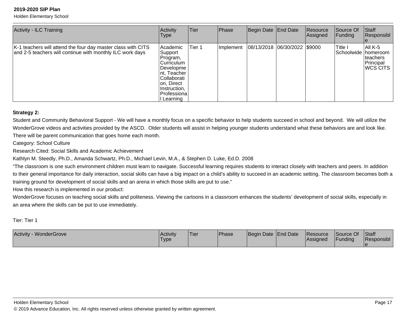Holden Elementary School

| Activity - ILC Training                                                                                                   | Activity<br>Type                                                                                                                                                 | <b>Tier</b> | Phase     | Begin Date   End Date        | Resource<br>Assigned | Source Of<br><b>Funding</b>      | $\vert$ Staff<br>Responsibl                    |
|---------------------------------------------------------------------------------------------------------------------------|------------------------------------------------------------------------------------------------------------------------------------------------------------------|-------------|-----------|------------------------------|----------------------|----------------------------------|------------------------------------------------|
| K-1 teachers will attend the four day master class with CITS<br>and 2-5 teachers will continue with monthly ILC work days | Academic<br>Support<br>Program,<br><b>Curriculum</b><br> Developme <br>Int, Teacher<br>lCollaborati<br> on, Direct_<br>Instruction,<br> Professiona <br>Learning | Tier 1      | Implement | 08/13/2018 06/30/2022 \$9000 |                      | Title I<br>Schoolwide   homeroom | aii K-5<br>Iteachers<br>Principal<br> WCS CITS |

#### **Strategy 2:**

Student and Community Behavioral Support - We will have a monthly focus on a specific behavior to help students succeed in school and beyond. We will utilize theWonderGrove videos and activities provided by the ASCD. Older students will assist in helping younger students understand what these behaviors are and look like. There will be parent communication that goes home each month.

Category: School Culture

Research Cited: Social Skills and Academic Achievement

Kathlyn M. Steedly, Ph.D., Amanda Schwartz, Ph.D., Michael Levin, M.A., & Stephen D. Luke, Ed.D. 2008

 "The classroom is one such environment children must learn to navigate. Successful learning requires students to interact closely with teachers and peers. In additionto their general importance for daily interaction, social skills can have a big impact on a child's ability to succeed in an academic setting. The classroom becomes both a training ground for development of social skills and an arena in which those skills are put to use."

How this research is implemented in our product:

WonderGrove focuses on teaching social skills and politeness. Viewing the cartoons in a classroom enhances the students' development of social skills, especially inan area where the skills can be put to use immediately.

Tier: Tier 1

| Activity - WonderGrove | <b>Activity</b><br>Type | 'Tier | Phase | Begin Date End Date |  | Resource<br><b>Assigned</b> | Source Of<br>Funding | Staff<br>Responsibl |
|------------------------|-------------------------|-------|-------|---------------------|--|-----------------------------|----------------------|---------------------|
|------------------------|-------------------------|-------|-------|---------------------|--|-----------------------------|----------------------|---------------------|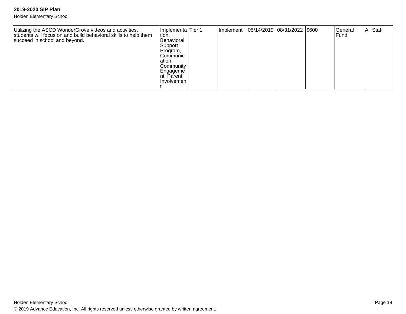| Utilizing the ASCD WonderGrove videos and activities,<br>students will focus on and build behavioral skills to help them<br>succeed in school and beyond. | Implementa Tier 1<br>tion,<br>Behavioral<br>Support<br>Program,<br> Communic<br> ation, |  | Implement   05/14/2019   08/31/2022   \$600 |  | lGeneral<br><b>IFund</b> | All Staff |
|-----------------------------------------------------------------------------------------------------------------------------------------------------------|-----------------------------------------------------------------------------------------|--|---------------------------------------------|--|--------------------------|-----------|
|                                                                                                                                                           | Community<br>Engageme<br>Int, Parent<br>Involvemen                                      |  |                                             |  |                          |           |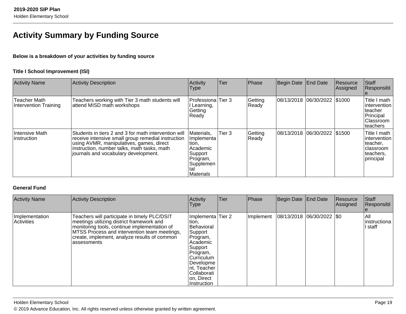# **Activity Summary by Funding Source**

### **Below is a breakdown of your activities by funding source**

### **Title I School Improvement (ISI)**

| <b>Activity Name</b>                  | <b>Activity Description</b>                                                                                                                                                                                                                   | Activity<br>Type                                                                                      | <b>Tier</b> | Phase            | Begin Date | End Date                      | Resource<br>Assigned | Staff<br>Responsibl                                                                     |
|---------------------------------------|-----------------------------------------------------------------------------------------------------------------------------------------------------------------------------------------------------------------------------------------------|-------------------------------------------------------------------------------------------------------|-------------|------------------|------------|-------------------------------|----------------------|-----------------------------------------------------------------------------------------|
| Teacher Math<br>Intervention Training | Teachers working with Tier 3 math students will<br>attend MISD math workshops                                                                                                                                                                 | Professiona Tier 3<br>Learning,<br>Getting<br>Ready                                                   |             | Getting<br>Ready | 08/13/2018 | 06/30/2022   \$1000           |                      | Title I math<br> intervention<br>Iteacher<br>Principal<br><b>Classroom</b><br> teachers |
| <b>Intensive Math</b><br>instruction  | Students in tiers 2 and 3 for math intervention will<br>receive intensive small group remedial instruction<br>using AVMR, manipulatives, games, direct<br>instruction, number talks, math tasks, math<br>journals and vocabulary development. | Materials,<br>Implementa<br>tion,<br>Academic<br>Support<br>Program,<br>Supplemen<br>tal<br>Materials | Tier 3      | Getting<br>Ready |            | 08/13/2018 06/30/2022 \\$1500 |                      | Title I math<br>lintervention<br>Iteacher,<br>Iclassroom<br>teachers.<br>principal      |

## **General Fund**

| <b>Activity Name</b>         | <b>Activity Description</b>                                                                                                                                                                                                                               | Activity<br>Type                                                                                                                                                                            | Tier | Phase     | Begin Date End Date           | Resource<br>Assigned | Staff<br>Responsibl              |
|------------------------------|-----------------------------------------------------------------------------------------------------------------------------------------------------------------------------------------------------------------------------------------------------------|---------------------------------------------------------------------------------------------------------------------------------------------------------------------------------------------|------|-----------|-------------------------------|----------------------|----------------------------------|
| Implementation<br>Activities | Teachers will participate in timely PLC/DSIT<br>meetings utilizing district framework and<br>monitoring tools, continue implementation of<br>MTSS Process and intervention team meetings,<br>create, implement, analyze results of common<br>lassessments | Implementa Tier 2<br>tion,<br>Behavioral<br>Support<br>Program,<br>Academic<br>Support<br>Program,<br>lCurriculum.<br>Developme<br>Int, Teacher<br>Collaborati<br>on, Direct<br>Instruction |      | Implement | $ 08/13/2018 06/30/2022 $ \$0 |                      | IAII<br>Iinstructiona<br>l staff |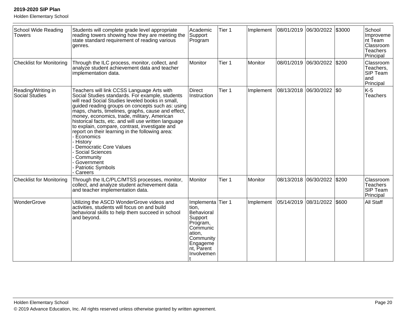| <b>School Wide Reading</b><br><b>Towers</b> | Students will complete grade level appropriate<br>reading towers showing how they are meeting the<br>state standard requirement of reading various<br>genres.                                                                                                                                                                                                                                                                                                                                                                                                                                                         | Academic<br>Support<br>Program                                                                                                             | Tier 1 | Implement |                       | 08/01/2019 06/30/2022     | \$3000 | School<br>Improveme<br>nt Team<br>Classroom<br>Teachers<br>Principal |
|---------------------------------------------|-----------------------------------------------------------------------------------------------------------------------------------------------------------------------------------------------------------------------------------------------------------------------------------------------------------------------------------------------------------------------------------------------------------------------------------------------------------------------------------------------------------------------------------------------------------------------------------------------------------------------|--------------------------------------------------------------------------------------------------------------------------------------------|--------|-----------|-----------------------|---------------------------|--------|----------------------------------------------------------------------|
| <b>Checklist for Monitoring</b>             | Through the ILC process, monitor, collect, and<br>analyze student achievement data and teacher<br>implementation data.                                                                                                                                                                                                                                                                                                                                                                                                                                                                                                | Monitor                                                                                                                                    | Tier 1 | Monitor   | 08/01/2019 06/30/2022 |                           | \$200  | Classroom<br>Teachers,<br>SIP Team<br>land<br>Principal              |
| Reading/Writing in<br>Social Studies        | Teachers will link CCSS Language Arts with<br>Social Studies standards. For example, students<br>will read Social Studies leveled books in small,<br>guided reading groups on concepts such as: using<br>maps, charts, timelines, graphs, cause and effect,<br>money, economics, trade, military, American<br>historical facts, etc. and will use written language<br>to explain, compare, contrast, investigate and<br>report on their learning in the following area:<br>Economics<br>History<br>Democratic Core Values<br><b>Social Sciences</b><br>Community<br>Government<br><b>Patriotic Symbols</b><br>Careers | Direct<br>Instruction                                                                                                                      | Tier 1 | Implement |                       | 08/13/2018 06/30/2022 \$0 |        | $K-5$<br>Teachers                                                    |
| <b>Checklist for Monitoring</b>             | Through the ILC/PLC/MTSS processes, monitor,<br>collect, and analyze student achievement data<br>and teacher implementation data.                                                                                                                                                                                                                                                                                                                                                                                                                                                                                     | Monitor                                                                                                                                    | Tier 1 | Monitor   |                       | 08/13/2018 06/30/2022     | \$200  | Classroom<br>Teachers<br>SIP Team<br>Principal                       |
| WonderGrove                                 | Utilizing the ASCD WonderGrove videos and<br>activities, students will focus on and build<br>behavioral skills to help them succeed in school<br>and beyond.                                                                                                                                                                                                                                                                                                                                                                                                                                                          | Implementa Tier 1<br>tion,<br>Behavioral<br>Support<br>Program,<br>Communic<br>ation,<br>Community<br>Engageme<br>nt, Parent<br>Involvemen |        | Implement | 05/14/2019 08/31/2022 |                           | \$600  | All Staff                                                            |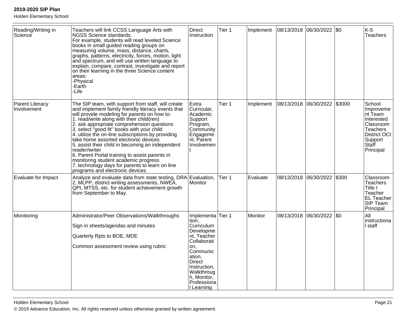| Reading/Writing in<br>Science  | Teachers will link CCSS Language Arts with<br>NGSS Science standards.<br>For example, students will read leveled Science<br>books in small guided reading groups on<br>measuring volume, mass, distance, charts,<br>graphs, patterns, electricity, forces, motion, light<br>and spectrum, and will use written language to<br>explain, compare, contrast, investigate and report<br>on their learning in the three Science content<br>areas:<br>-Physical<br>-Earth<br>-Life                                                                                                                                                                         | <b>Direct</b><br>Instruction                                                                                                                                                                         | Tier 1 | Implement | 08/13/2018 06/30/2022 50 |                    |        | $K-5$<br><b>Teachers</b>                                                                                                      |
|--------------------------------|------------------------------------------------------------------------------------------------------------------------------------------------------------------------------------------------------------------------------------------------------------------------------------------------------------------------------------------------------------------------------------------------------------------------------------------------------------------------------------------------------------------------------------------------------------------------------------------------------------------------------------------------------|------------------------------------------------------------------------------------------------------------------------------------------------------------------------------------------------------|--------|-----------|--------------------------|--------------------|--------|-------------------------------------------------------------------------------------------------------------------------------|
| Parent Literacy<br>Involvement | The SIP team, with support from staff, will create<br>and implement family friendly literacy events that<br>will provide modeling for parents on how to:<br>1. read/write along with their child(ren)<br>2. ask appropriate comprehension questions<br>3. select "good fit" books with your child<br>4. utilize the on-line subscriptions by providing<br>take home assorted electronic devices<br>5. assist their child in becoming an independent<br>reader/writer<br>6. Parent Portal training to assist parents in<br>monitoring student academic progress<br>7. technology days for parents to learn on line<br>programs and electronic devices | Extra<br>Curricular,<br>Academic<br>Support<br>Program,<br>Community<br>Engageme<br>nt, Parent<br>Involvemen                                                                                         | Tier 1 | Implement | 08/13/2018               | 06/30/2022         | \$3000 | School<br>Improveme<br>nt Team<br>Interested<br>Classroom<br><b>Teachers</b><br>District OCI<br>Support<br>Staff<br>Principal |
| Evaluate for Impact            | Analyze and evaluate data from state testing, DRA Evaluation,<br>2, MLPP, district writing assessments, NWEA,<br>QPI, MTSS, etc. for student achievement growth<br>from September to May.                                                                                                                                                                                                                                                                                                                                                                                                                                                            | Monitor                                                                                                                                                                                              | Tier 1 | Evaluate  | 08/13/2018               | 06/30/2022         | \$300  | Classroom<br><b>Teachers</b><br>Title I<br>Teacher<br><b>EL Teacher</b><br>SIP Team<br>Principal                              |
| Monitoring                     | Administrator/Peer Observations/Walkthroughs<br>Sign in sheets/agendas and minutes<br>Quarterly Rpts to BOE, MDE<br>Common assessment review using rubric                                                                                                                                                                                                                                                                                                                                                                                                                                                                                            | Implementa<br>tion.<br>Curriculum<br>Developme<br>nt, Teacher<br>Collaborati<br>on.<br>Communic<br>ation,<br><b>Direct</b><br>Instruction.<br>Walkthroug<br>h, Monitor,<br>Professiona<br>I Learning | Tier 1 | Monitor   | 08/13/2018               | $ 06/30/2022 $ \$0 |        | All<br>instructiona<br>I staff                                                                                                |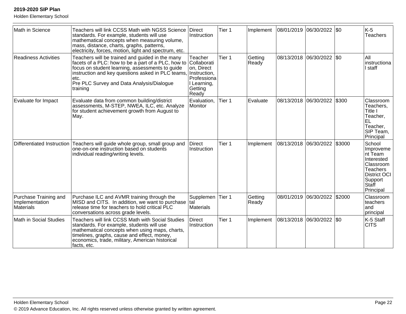| Math in Science                                             | Teachers will link CCSS Math with NGSS Science<br>standards. For example, students will use<br>mathematical concepts when measuring volume,<br>mass, distance, charts, graphs, patterns,<br>electricity, forces, motion, light and spectrum, etc.                                          | Direct<br>Instruction                                                                   | Tier 1            | Implement        | 08/01/2019 06/30/2022   \$0 |                              |        | $K-5$<br><b>Teachers</b>                                                                                                              |
|-------------------------------------------------------------|--------------------------------------------------------------------------------------------------------------------------------------------------------------------------------------------------------------------------------------------------------------------------------------------|-----------------------------------------------------------------------------------------|-------------------|------------------|-----------------------------|------------------------------|--------|---------------------------------------------------------------------------------------------------------------------------------------|
| <b>Readiness Activities</b>                                 | Teachers will be trained and guided in the many<br>facets of a PLC: how to be a part of a PLC, how to Collaborati<br>focus on student learning, assessments to guide<br>instruction and key questions asked in PLC teams,<br>etc.<br>Pre PLC Survey and Data Analysis/Dialogue<br>training | Teacher<br>on, Direct<br>Instruction,<br>Professiona<br>I Learning,<br>Getting<br>Ready | Tier 1            | Getting<br>Ready |                             | 08/13/2018 06/30/2022 \$0    |        | All<br>instructiona<br>I staff                                                                                                        |
| Evaluate for Impact                                         | Evaluate data from common building/district<br>assessments, M-STEP, NWEA, ILC, etc. Analyze<br>for student achievement growth from August to<br>May.                                                                                                                                       | Evaluation,<br>Monitor                                                                  | Tier 1            | Evaluate         |                             | 08/13/2018 06/30/2022        | \$300  | Classroom<br>Teachers,<br>Title I<br>Teacher,<br>lel<br>Teacher,<br>SIP Team,<br>Principal                                            |
|                                                             | Differentiated Instruction Teachers will guide whole group, small group and<br>one-on-one instruction based on students<br>individual reading/writing levels.                                                                                                                              | Direct<br>Instruction                                                                   | Tier 1            | Implement        |                             | 08/13/2018  06/30/2022       | \$3000 | School<br>Improveme<br>Int Team<br>Interested<br>Classroom<br><b>Teachers</b><br><b>District OCI</b><br>Support<br>Staff<br>Principal |
| Purchase Training and<br>Implementation<br><b>Materials</b> | Purchase ILC and AVMR training through the<br>MISD and CITS. In addition, we want to purchase<br>release time for teachers to hold critical PLC<br>conversations across grade levels.                                                                                                      | Supplemen<br>Ital<br><b>Materials</b>                                                   | Tier 1            | Getting<br>Ready |                             | 08/01/2019 06/30/2022 \$2000 |        | Classroom<br>teachers<br>land<br>principal                                                                                            |
| Math in Social Studies                                      | Teachers will link CCSS Math with Social Studies<br>standards. For example, students will use<br>mathematical concepts when using maps, charts,<br>timelines, graphs, cause and effect, money,<br>economics, trade, military, American historical<br>facts, etc.                           | <b>Direct</b><br>Instruction                                                            | Tier <sub>1</sub> | Implement        |                             | 08/13/2018  06/30/2022  \$0  |        | K-5 Staff<br><b>CITS</b>                                                                                                              |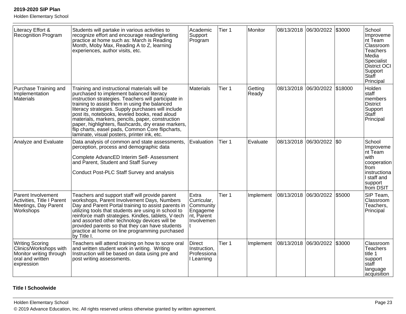Holden Elementary School

| Literacy Effort &<br><b>Recognition Program</b>                                                               | Students will partake in various activities to<br>recognize effort and encourage reading/writing<br>practice at home such as: March is Reading<br>Month, Moby Max, Reading A to Z, learning<br>experiences, author visits, etc.                                                                                                                                                                                                                                                                                         | Academic<br>Support<br>Program                                            | Tier 1 | Monitor          |            | 08/13/2018 06/30/2022         | \$3000 | School<br>Improveme<br>Int Team<br>Classroom<br>Teachers<br>Media<br>Specialist<br>District OCI<br>Support<br>Staff<br>Principal |
|---------------------------------------------------------------------------------------------------------------|-------------------------------------------------------------------------------------------------------------------------------------------------------------------------------------------------------------------------------------------------------------------------------------------------------------------------------------------------------------------------------------------------------------------------------------------------------------------------------------------------------------------------|---------------------------------------------------------------------------|--------|------------------|------------|-------------------------------|--------|----------------------------------------------------------------------------------------------------------------------------------|
| Purchase Training and<br>Implementation<br>Materials                                                          | Training and instructional materials will be<br>purchased to implement balanced literacy<br>instruction strategies. Teachers will participate in<br>training to assist them in using the balanced<br>literacy strategies. Supply purchases will include<br>post its, notebooks, leveled books, read aloud<br>materials, markers, pencils, paper, construction<br>paper, highlighters, flashcards, dry erase markers,<br>flip charts, easel pads, Common Core flipcharts,<br>laminate, visual posters, printer ink, etc. | <b>Materials</b>                                                          | Tier 1 | Getting<br>Ready |            | 08/13/2018 06/30/2022 \$18000 |        | Holden<br>staff<br>members<br>District<br>Support<br>Staff<br>Principal                                                          |
| Analyze and Evaluate                                                                                          | Data analysis of common and state assessments,<br>perception, process and demographic data<br>Complete AdvancED Interim Self- Assessment<br>and Parent, Student and Staff Survey<br>Conduct Post-PLC Staff Survey and analysis                                                                                                                                                                                                                                                                                          | Evaluation                                                                | Tier 1 | Evaluate         |            | 08/13/2018  06/30/2022  \$0   |        | School<br>Improveme<br>Int Team<br>with<br>cooperation<br>from<br>instructiona<br>I staff and<br>support<br>from DSIT            |
| Parent Involvement<br>Activities, Title I Parent<br>Meetings, Day Parent<br>Workshops                         | Teachers and support staff will provide parent<br>workshops, Parent Involvement Days, Numbers<br>Day and Parent Portal training to assist parents in<br>utilizing tools that students are using in school to<br>reinforce math strategies. Kindles, tablets, V-tech<br>and assorted other technology devices will be<br>provided parents so that they can have students<br>practice at home on line programming purchased<br>by Title I.                                                                                | Extra<br>Curricular,<br>Community<br>Engageme<br>nt, Parent<br>Involvemen | Tier 1 | Implement        | 08/13/2018 | 06/30/2022                    | \$5000 | SIP Team,<br>Classroom<br>Teachers,<br>Principal                                                                                 |
| <b>Writing Scoring</b><br>Clinics/Workshops with<br>Monitor writing through<br>oral and written<br>expression | Teachers will attend training on how to score oral<br>and written student work in writing. Writing<br>Instruction will be based on data using pre and<br>post writing assessments.                                                                                                                                                                                                                                                                                                                                      | <b>Direct</b><br>Instruction,<br>Professiona<br>I Learning                | Tier 1 | Implement        |            | 08/13/2018 06/30/2022 \$3000  |        | Classroom<br><b>Teachers</b><br>title 1<br>support<br>Istaff<br>language<br>acquisition                                          |

### **Title I Schoolwide**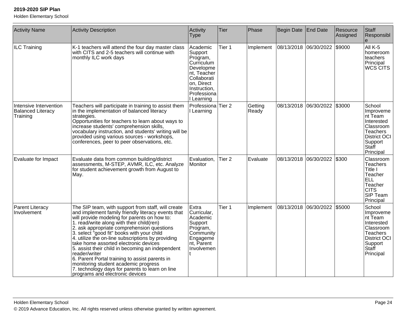| <b>Activity Name</b>                                           | <b>Activity Description</b>                                                                                                                                                                                                                                                                                                                                                                                                                                                                                                                                                                                                                          | Activity<br><b>Type</b>                                                                                                                             | <b>Tier</b>       | Phase            | Begin Date | <b>End Date</b>   | Resource<br>Assigned | Staff<br>Responsibl                                                                                                      |
|----------------------------------------------------------------|------------------------------------------------------------------------------------------------------------------------------------------------------------------------------------------------------------------------------------------------------------------------------------------------------------------------------------------------------------------------------------------------------------------------------------------------------------------------------------------------------------------------------------------------------------------------------------------------------------------------------------------------------|-----------------------------------------------------------------------------------------------------------------------------------------------------|-------------------|------------------|------------|-------------------|----------------------|--------------------------------------------------------------------------------------------------------------------------|
| ILC Training                                                   | K-1 teachers will attend the four day master class<br>with CITS and 2-5 teachers will continue with<br>monthly ILC work days                                                                                                                                                                                                                                                                                                                                                                                                                                                                                                                         | Academic<br>Support<br>Program,<br>Curriculum<br>Developme<br>nt, Teacher<br>Collaborati<br>on, Direct<br>Instruction,<br>Professiona<br>I Learning | Tier 1            | Implement        | 08/13/2018 | 06/30/2022 \$9000 |                      | All K-5<br>homeroom<br>teachers<br>Principal<br>WCS CITS                                                                 |
| Intensive Intervention<br><b>Balanced Literacy</b><br>Training | Teachers will participate in training to assist them<br>in the implementation of balanced literacy<br>strategies.<br>Opportunities for teachers to learn about ways to<br>increase students' comprehension skills,<br>vocabulary instruction, and students' writing will be<br>provided using various sources - workshops,<br>conferences, peer to peer observations, etc.                                                                                                                                                                                                                                                                           | Professiona Tier 2<br>I Learning                                                                                                                    |                   | Getting<br>Ready | 08/13/2018 | 06/30/2022        | \$3000               | School<br>Improveme<br>∣nt Team<br>Interested<br> Classroom<br>Teachers<br>District OCI<br>Support<br>Staff<br>Principal |
| Evaluate for Impact                                            | Evaluate data from common building/district<br>assessments, M-STEP, AVMR, ILC, etc. Analyze<br>for student achievement growth from August to<br>May.                                                                                                                                                                                                                                                                                                                                                                                                                                                                                                 | Evaluation,<br>Monitor                                                                                                                              | Tier <sub>2</sub> | Evaluate         | 08/13/2018 | 06/30/2022 \$300  |                      | Classroom<br><b>Teachers</b><br>Title I<br>Teacher<br><b>ELL</b><br>Teacher<br><b>CITS</b><br>SIP Team<br>Principal      |
| Parent Literacy<br>Involvement                                 | The SIP team, with support from staff, will create<br>and implement family friendly literacy events that<br>will provide modeling for parents on how to:<br>1. read/write along with their child(ren)<br>2. ask appropriate comprehension questions<br>3. select "good fit" books with your child<br>4. utilize the on-line subscriptions by providing<br>take home assorted electronic devices<br>5. assist their child in becoming an independent<br>reader/writer<br>6. Parent Portal training to assist parents in<br>monitoring student academic progress<br>7. technology days for parents to learn on line<br>programs and electronic devices | Extra<br>Curricular,<br>Academic<br>Support<br>Program,<br>Community<br>Engageme<br>nt, Parent<br>Involvemen                                        | Tier 1            | Implement        | 08/13/2018 | 06/30/2022        | \$5000               | School<br>Improveme<br>∣nt Team<br>Interested<br>Classroom<br>Teachers<br>District OCI<br>Support<br>Staff<br>Principal  |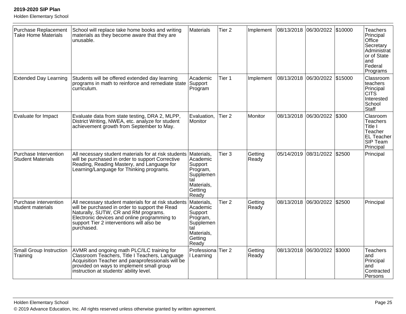| <b>Purchase Replacement</b><br><b>Take Home Materials</b> | School will replace take home books and writing<br>materials as they become aware that they are<br>unusable.                                                                                                                                              | Materials                                                                                           | Tier <sub>2</sub> | Implement        |            | 08/13/2018 06/30/2022         | \$10000 | <b>Teachers</b><br>Principal<br>Office<br>Secretary<br>Administrat<br>or of State<br>and<br>Federal<br>Programs |
|-----------------------------------------------------------|-----------------------------------------------------------------------------------------------------------------------------------------------------------------------------------------------------------------------------------------------------------|-----------------------------------------------------------------------------------------------------|-------------------|------------------|------------|-------------------------------|---------|-----------------------------------------------------------------------------------------------------------------|
| <b>Extended Day Learning</b>                              | Students will be offered extended day learning<br>programs in math to reinforce and remediate state<br>curriculum.                                                                                                                                        | Academic<br>Support<br>Program                                                                      | Tier 1            | Implement        |            | 08/13/2018 06/30/2022 \$15000 |         | Classroom<br>teachers<br>Principal<br>CITS<br>Interested<br>School<br>Staff                                     |
| Evaluate for Impact                                       | Evaluate data from state testing, DRA 2, MLPP,<br>District Writing, NWEA, etc. analyze for student<br>achievement growth from September to May.                                                                                                           | Evaluation,<br>Monitor                                                                              | Tier <sub>2</sub> | Monitor          |            | 08/13/2018 06/30/2022         | \$300   | Clasroom<br><b>Teachers</b><br>Title I<br>Teacher<br><b>EL Teacher</b><br>SIP Team<br>Principal                 |
| Purchase Intervention<br><b>Student Materials</b>         | All necessary student materials for at risk students<br>will be purchased in order to support Corrective<br>Reading, Reading Mastery, and Language for<br>Learning/Language for Thinking programs.                                                        | Materials,<br>Academic<br>Support<br>Program,<br>Supplemen<br>tal<br>Materials,<br>Getting<br>Ready | Tier <sub>3</sub> | Getting<br>Ready | 05/14/2019 | 08/31/2022                    | \$2500  | Principal                                                                                                       |
| Purchase intervention<br>student materials                | All necessary student materials for at risk students<br>will be purchased in order to support the Read<br>Naturally, SUTW, CR and RM programs.<br>Electronic devices and online programming to<br>support Tier 2 interventions will also be<br>purchased. | Materials,<br>Academic<br>Support<br>Program,<br>Supplemen<br>tal<br>Materials,<br>Getting<br>Ready | Tier <sub>2</sub> | Getting<br>Ready | 08/13/2018 | 06/30/2022                    | \$2500  | Principal                                                                                                       |
| <b>Small Group Instruction</b><br>Training                | AVMR and ongoing math PLC/ILC training for<br>Classroom Teachers, Title I Teachers, Language<br>Acquisition Teacher and paraprofessionals will be<br>provided on ways to implement small group<br>instruction at students' ability level.                 | Professiona<br>I Learning                                                                           | Tier 2            | Getting<br>Ready |            | 08/13/2018 06/30/2022         | \$3000  | <b>Teachers</b><br>and<br>Principal<br>and<br>Contracted<br>Persons                                             |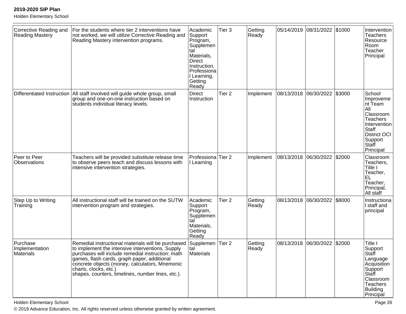Holden Elementary School

| Corrective Reading and<br>Reading Mastery | For the students where tier 2 interventions have<br>not worked, we will utilize Corrective Reading and<br>Reading Mastery intervention programs.                                                                                                                                                                                           | Academic<br>Support<br>Program,<br>Supplemen<br>tal<br>Materials,<br>Direct<br>Instruction,<br>Professiona<br>I Learning,<br>Getting<br>Ready | Tier <sub>3</sub> | Getting<br>Ready | 05/14/2019 | 08/31/2022 \$1000 |        | Intervention<br><b>Teachers</b><br>Resource<br>Room<br>Teacher<br>Principal                                                                                    |
|-------------------------------------------|--------------------------------------------------------------------------------------------------------------------------------------------------------------------------------------------------------------------------------------------------------------------------------------------------------------------------------------------|-----------------------------------------------------------------------------------------------------------------------------------------------|-------------------|------------------|------------|-------------------|--------|----------------------------------------------------------------------------------------------------------------------------------------------------------------|
| Differentiated Instruction                | All staff involved will guide whole group, small<br>group and one-on-one instruction based on<br>students individual literacy levels.                                                                                                                                                                                                      | <b>Direct</b><br>Instruction                                                                                                                  | Tier <sub>2</sub> | Implement        | 08/13/2018 | 06/30/2022        | \$3000 | School<br>Improveme<br>Int Team<br>All<br>Classroom<br><b>Teachers</b><br>Intervention<br><b>Staff</b><br><b>District OCI</b><br>Support<br>Staff<br>Principal |
| Peer to Peer<br><b>Observations</b>       | Teachers will be provided substitute release time<br>to observe peers teach and discuss lessons with<br>intensive intervention strategies.                                                                                                                                                                                                 | Professiona<br>I Learning                                                                                                                     | Tier <sub>2</sub> | Implement        | 08/13/2018 | 06/30/2022        | \$2000 | Classroom<br>Teachers,<br>Title I<br>Teacher,<br>IEL.<br>Teacher,<br>Principal,<br>All staff                                                                   |
| Step Up to Writing<br>Training            | All instructional staff will be trained on the SUTW<br>intervention program and strategies.                                                                                                                                                                                                                                                | Academic<br>Support<br>Program,<br>Supplemen<br>tal<br>Materials,<br>Getting<br>Ready                                                         | Tier <sub>2</sub> | Getting<br>Ready | 08/13/2018 | 06/30/2022        | \$8000 | Instructiona<br>I staff and<br>principal                                                                                                                       |
| Purchase<br>Implementation<br>Materials   | Remedial instructional materials will be purchased<br>to implement the intensive interventions. Supply<br>purchases will include remedial instruction: math<br>games, flash cards, graph paper, additional<br>concrete objects (money, calculators, Mnemonic<br>charts, clocks, etc.)<br>shapes, counters, timelines, number lines, etc.). | Supplemen<br>tal<br>Materials                                                                                                                 | Tier <sub>2</sub> | Getting<br>Ready | 08/13/2018 | 06/30/2022        | \$2000 | Title I<br>Support<br> Staff<br>Language<br>Acquisition<br>Support<br>Staff<br>Classroom<br><b>Teachers</b><br>Building<br>Principal                           |

Holden Elementary School